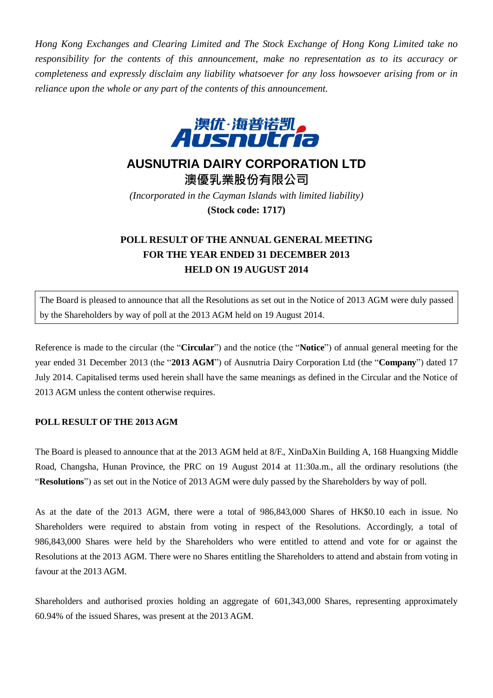*Hong Kong Exchanges and Clearing Limited and The Stock Exchange of Hong Kong Limited take no responsibility for the contents of this announcement, make no representation as to its accuracy or completeness and expressly disclaim any liability whatsoever for any loss howsoever arising from or in reliance upon the whole or any part of the contents of this announcement.*



## **AUSNUTRIA DAIRY CORPORATION LTD**

**澳優乳業股份有限公司** *(Incorporated in the Cayman Islands with limited liability)* **(Stock code: 1717)**

## **POLL RESULT OF THE ANNUAL GENERAL MEETING FOR THE YEAR ENDED 31 DECEMBER 2013 HELD ON 19 AUGUST 2014**

The Board is pleased to announce that all the Resolutions as set out in the Notice of 2013 AGM were duly passed by the Shareholders by way of poll at the 2013 AGM held on 19 August 2014.

Reference is made to the circular (the "**Circular**") and the notice (the "**Notice**") of annual general meeting for the year ended 31 December 2013 (the "**2013 AGM**") of Ausnutria Dairy Corporation Ltd (the "**Company**") dated 17 July 2014. Capitalised terms used herein shall have the same meanings as defined in the Circular and the Notice of 2013 AGM unless the content otherwise requires.

## **POLL RESULT OF THE 2013 AGM**

The Board is pleased to announce that at the 2013 AGM held at 8/F., XinDaXin Building A, 168 Huangxing Middle Road, Changsha, Hunan Province, the PRC on 19 August 2014 at 11:30a.m., all the ordinary resolutions (the "**Resolutions**") as set out in the Notice of 2013 AGM were duly passed by the Shareholders by way of poll.

As at the date of the 2013 AGM, there were a total of 986,843,000 Shares of HK\$0.10 each in issue. No Shareholders were required to abstain from voting in respect of the Resolutions. Accordingly, a total of 986,843,000 Shares were held by the Shareholders who were entitled to attend and vote for or against the Resolutions at the 2013 AGM. There were no Shares entitling the Shareholders to attend and abstain from voting in favour at the 2013 AGM.

Shareholders and authorised proxies holding an aggregate of 601,343,000 Shares, representing approximately 60.94% of the issued Shares, was present at the 2013 AGM.